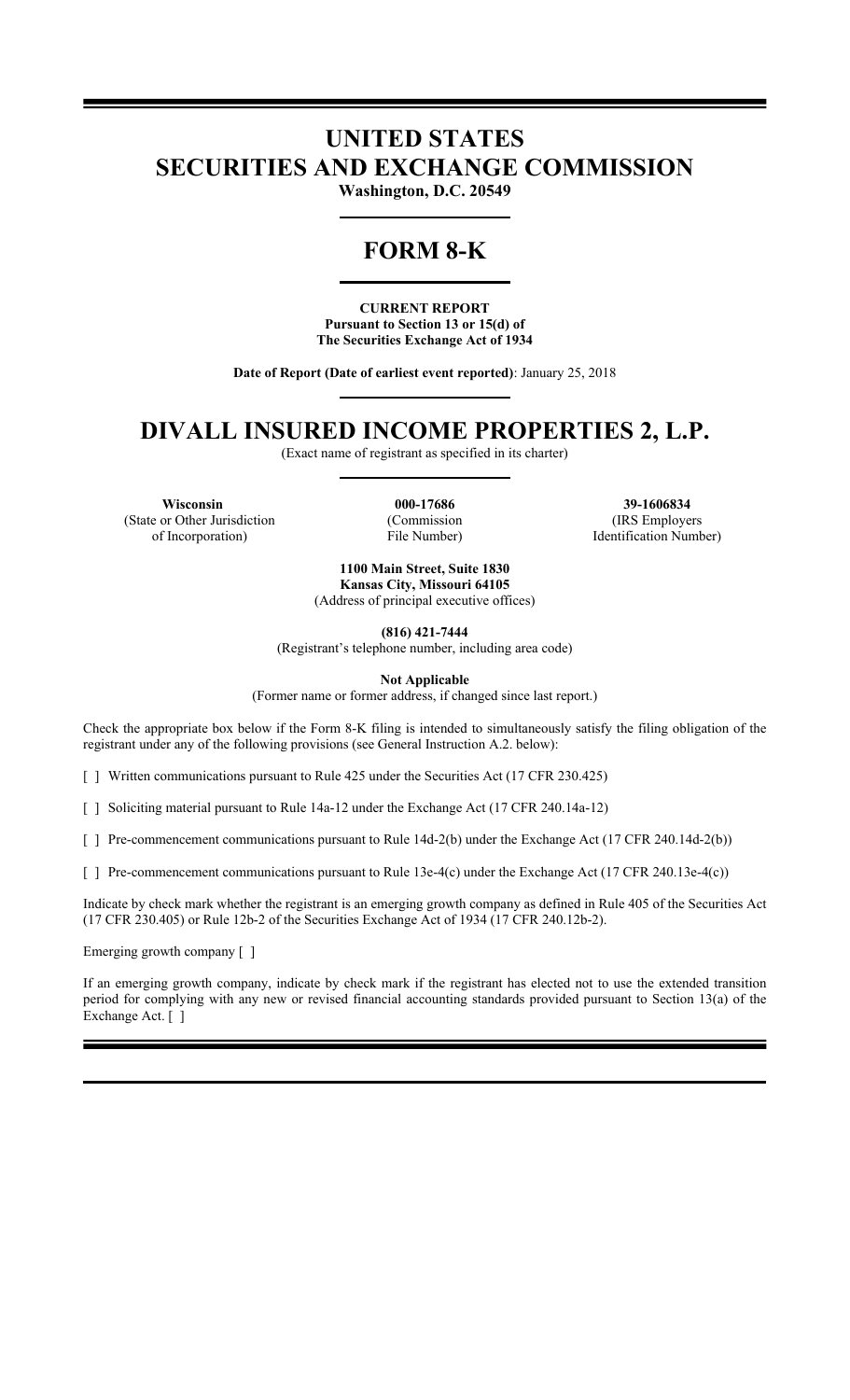## **UNITED STATES SECURITIES AND EXCHANGE COMMISSION**

**Washington, D.C. 20549**

## **FORM 8-K**

**CURRENT REPORT Pursuant to Section 13 or 15(d) of The Securities Exchange Act of 1934**

**Date of Report (Date of earliest event reported)**: January 25, 2018

# **DIVALL INSURED INCOME PROPERTIES 2, L.P.**

(Exact name of registrant as specified in its charter)

**Wisconsin 000-17686 39-1606834** (State or Other Jurisdiction of Incorporation)

(Commission File Number)

(IRS Employers Identification Number)

**1100 Main Street, Suite 1830 Kansas City, Missouri 64105** (Address of principal executive offices)

**(816) 421-7444**

(Registrant's telephone number, including area code)

**Not Applicable**

(Former name or former address, if changed since last report.)

Check the appropriate box below if the Form 8-K filing is intended to simultaneously satisfy the filing obligation of the registrant under any of the following provisions (see General Instruction A.2. below):

[ ] Written communications pursuant to Rule 425 under the Securities Act (17 CFR 230.425)

[ ] Soliciting material pursuant to Rule 14a-12 under the Exchange Act (17 CFR 240.14a-12)

[ ] Pre-commencement communications pursuant to Rule 14d-2(b) under the Exchange Act (17 CFR 240.14d-2(b))

[ ] Pre-commencement communications pursuant to Rule 13e-4(c) under the Exchange Act (17 CFR 240.13e-4(c))

Indicate by check mark whether the registrant is an emerging growth company as defined in Rule 405 of the Securities Act (17 CFR 230.405) or Rule 12b-2 of the Securities Exchange Act of 1934 (17 CFR 240.12b-2).

Emerging growth company [ ]

If an emerging growth company, indicate by check mark if the registrant has elected not to use the extended transition period for complying with any new or revised financial accounting standards provided pursuant to Section 13(a) of the Exchange Act. [ ]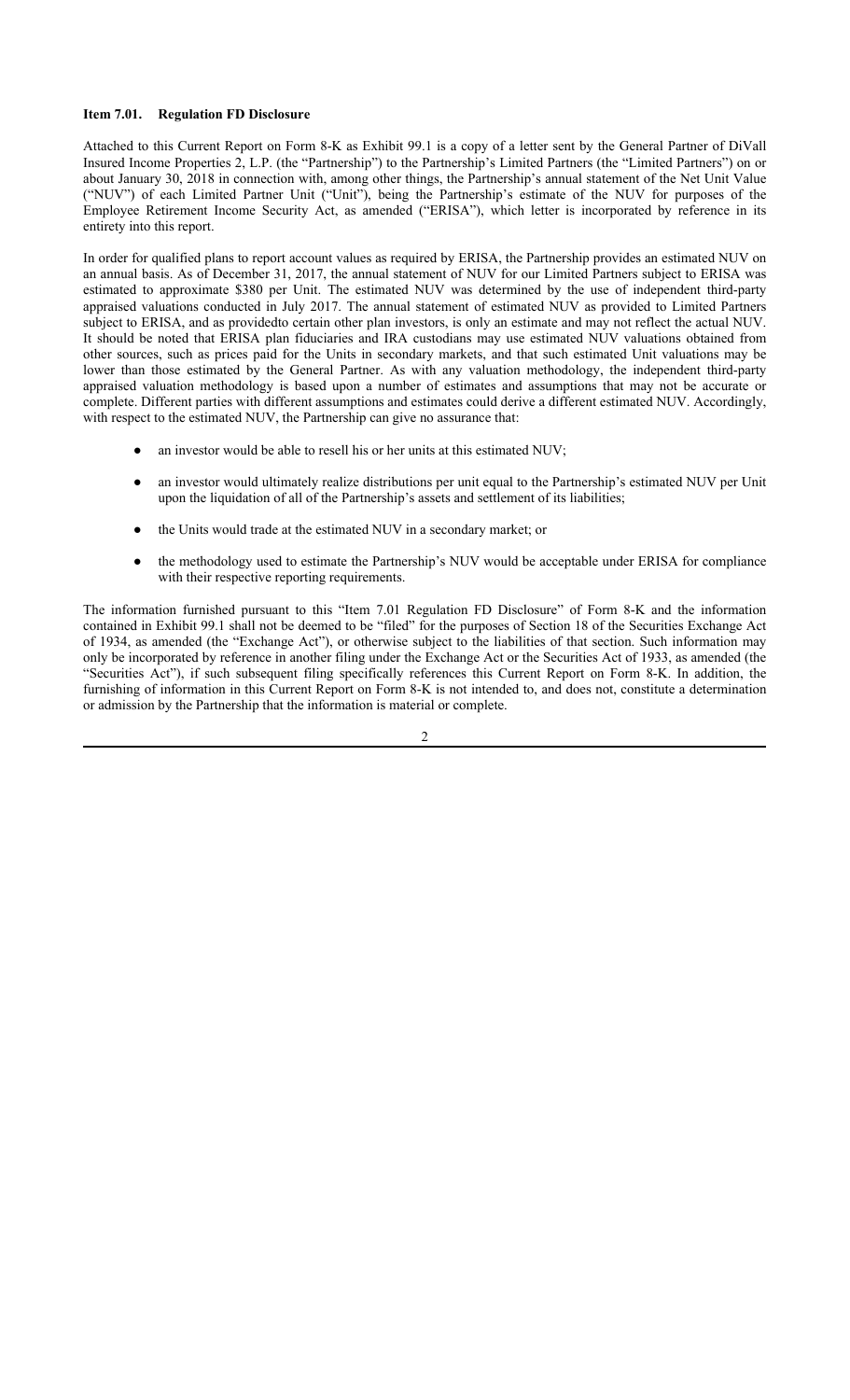#### **Item 7.01. Regulation FD Disclosure**

Attached to this Current Report on Form 8-K as Exhibit 99.1 is a copy of a letter sent by the General Partner of DiVall Insured Income Properties 2, L.P. (the "Partnership") to the Partnership's Limited Partners (the "Limited Partners") on or about January 30, 2018 in connection with, among other things, the Partnership's annual statement of the Net Unit Value ("NUV") of each Limited Partner Unit ("Unit"), being the Partnership's estimate of the NUV for purposes of the Employee Retirement Income Security Act, as amended ("ERISA"), which letter is incorporated by reference in its entirety into this report.

In order for qualified plans to report account values as required by ERISA, the Partnership provides an estimated NUV on an annual basis. As of December 31, 2017, the annual statement of NUV for our Limited Partners subject to ERISA was estimated to approximate \$380 per Unit. The estimated NUV was determined by the use of independent third-party appraised valuations conducted in July 2017. The annual statement of estimated NUV as provided to Limited Partners subject to ERISA, and as providedto certain other plan investors, is only an estimate and may not reflect the actual NUV. It should be noted that ERISA plan fiduciaries and IRA custodians may use estimated NUV valuations obtained from other sources, such as prices paid for the Units in secondary markets, and that such estimated Unit valuations may be lower than those estimated by the General Partner. As with any valuation methodology, the independent third-party appraised valuation methodology is based upon a number of estimates and assumptions that may not be accurate or complete. Different parties with different assumptions and estimates could derive a different estimated NUV. Accordingly, with respect to the estimated NUV, the Partnership can give no assurance that:

- an investor would be able to resell his or her units at this estimated NUV;
- an investor would ultimately realize distributions per unit equal to the Partnership's estimated NUV per Unit upon the liquidation of all of the Partnership's assets and settlement of its liabilities;
- the Units would trade at the estimated NUV in a secondary market; or
- the methodology used to estimate the Partnership's NUV would be acceptable under ERISA for compliance with their respective reporting requirements.

The information furnished pursuant to this "Item 7.01 Regulation FD Disclosure" of Form 8-K and the information contained in Exhibit 99.1 shall not be deemed to be "filed" for the purposes of Section 18 of the Securities Exchange Act of 1934, as amended (the "Exchange Act"), or otherwise subject to the liabilities of that section. Such information may only be incorporated by reference in another filing under the Exchange Act or the Securities Act of 1933, as amended (the "Securities Act"), if such subsequent filing specifically references this Current Report on Form 8-K. In addition, the furnishing of information in this Current Report on Form 8-K is not intended to, and does not, constitute a determination or admission by the Partnership that the information is material or complete.

2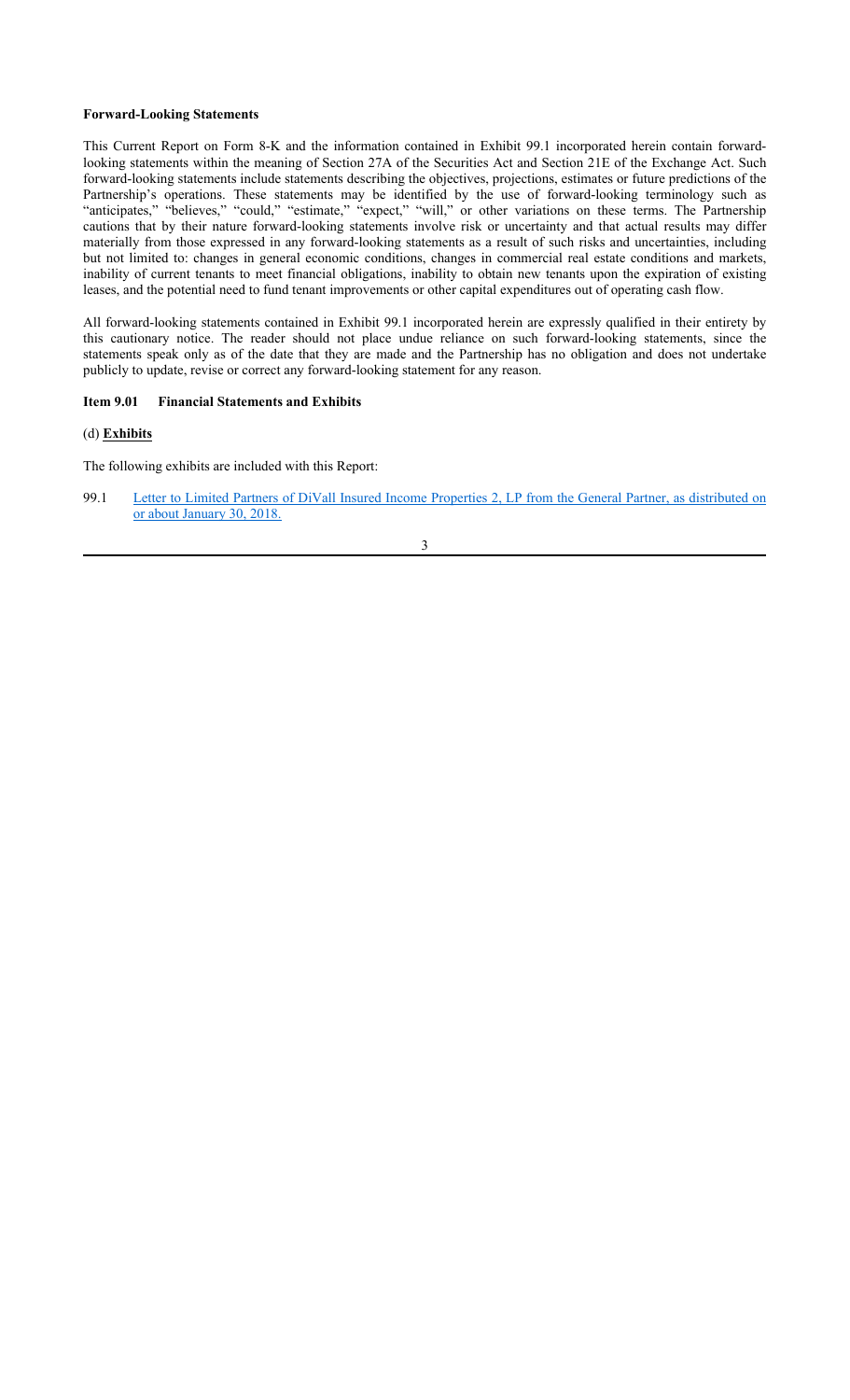#### **Forward-Looking Statements**

This Current Report on Form 8-K and the information contained in Exhibit 99.1 incorporated herein contain forwardlooking statements within the meaning of Section 27A of the Securities Act and Section 21E of the Exchange Act. Such forward-looking statements include statements describing the objectives, projections, estimates or future predictions of the Partnership's operations. These statements may be identified by the use of forward-looking terminology such as "anticipates," "believes," "could," "estimate," "expect," "will," or other variations on these terms. The Partnership cautions that by their nature forward-looking statements involve risk or uncertainty and that actual results may differ materially from those expressed in any forward-looking statements as a result of such risks and uncertainties, including but not limited to: changes in general economic conditions, changes in commercial real estate conditions and markets, inability of current tenants to meet financial obligations, inability to obtain new tenants upon the expiration of existing leases, and the potential need to fund tenant improvements or other capital expenditures out of operating cash flow.

All forward-looking statements contained in Exhibit 99.1 incorporated herein are expressly qualified in their entirety by this cautionary notice. The reader should not place undue reliance on such forward-looking statements, since the statements speak only as of the date that they are made and the Partnership has no obligation and does not undertake publicly to update, revise or correct any forward-looking statement for any reason.

### **Item 9.01 Financial Statements and Exhibits**

### (d) **Exhibits**

The following exhibits are included with this Report:

99.1 Letter to Limited Partners of DiVall Insured Income Properties 2, LP from the General Partner, as distributed on or about January 30, 2018.

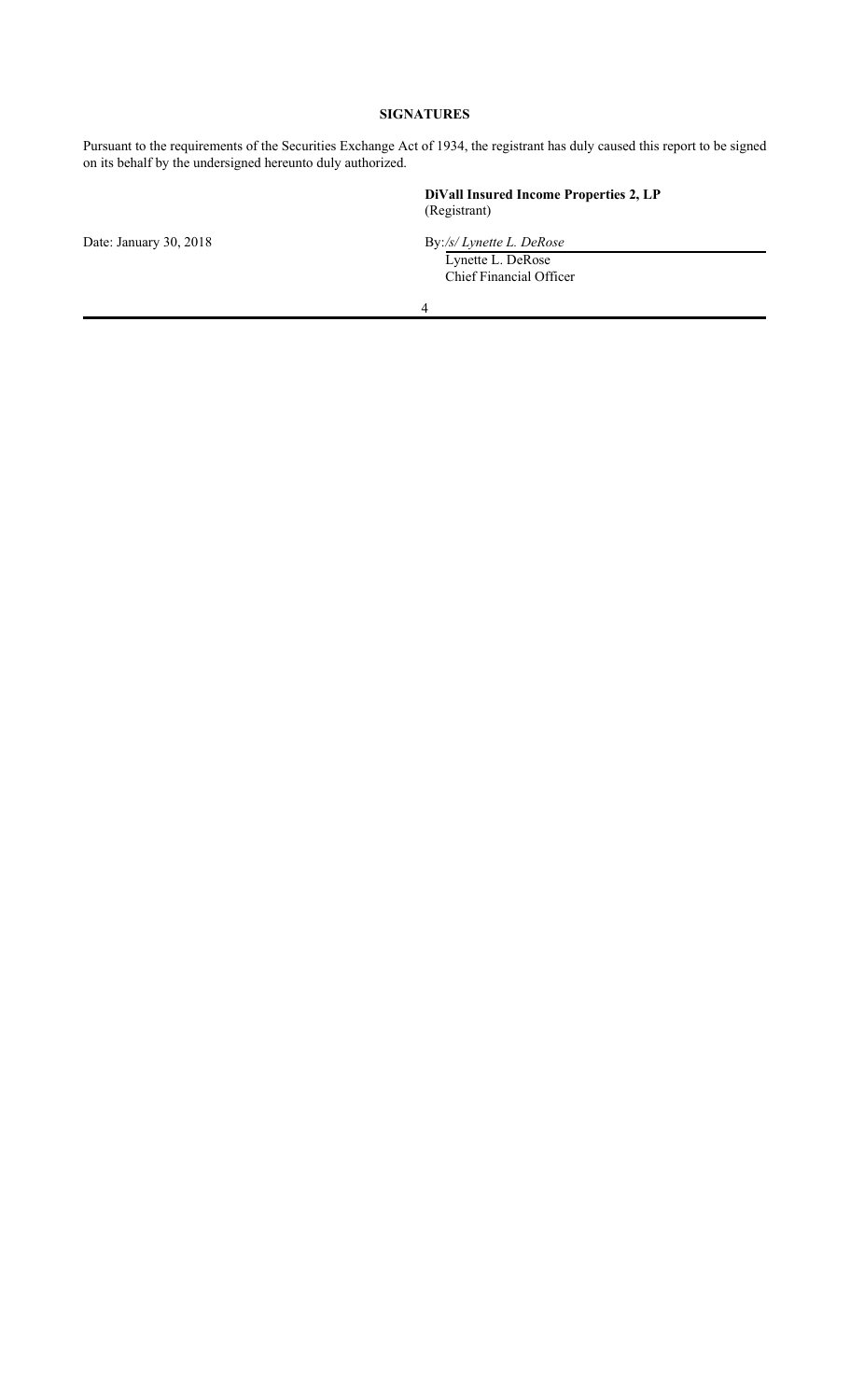### **SIGNATURES**

Pursuant to the requirements of the Securities Exchange Act of 1934, the registrant has duly caused this report to be signed on its behalf by the undersigned hereunto duly authorized.

**DiVall Insured Income Properties 2, LP** (Registrant)

Date: January 30, 2018 **By:/s/ Lynette L. DeRose** 

Lynette L. DeRose Chief Financial Officer